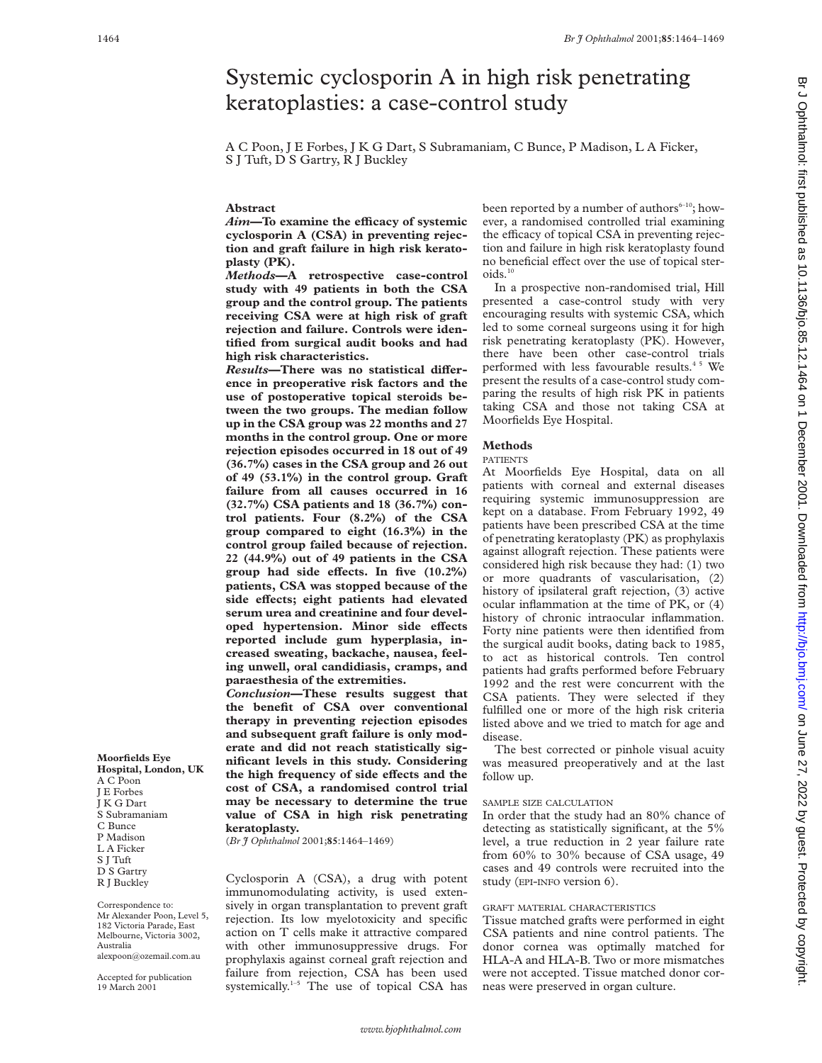# Systemic cyclosporin A in high risk penetrating keratoplasties: a case-control study

A C Poon, J E Forbes, J K G Dart, S Subramaniam, C Bunce, P Madison, L A Ficker, S J Tuft, D S Gartry, R J Buckley

## **Abstract**

*Aim*—To examine the efficacy of systemic **cyclosporin A (CSA) in preventing rejection and graft failure in high risk keratoplasty (PK).**

*Methods***—A retrospective case-control study with 49 patients in both the CSA group and the control group. The patients receiving CSA were at high risk of graft rejection and failure. Controls were identified from surgical audit books and had high risk characteristics.**

**Results–There was no statistical difference in preoperative risk factors and the use of postoperative topical steroids between the two groups. The median follow up in the CSA group was 22 months and 27 months in the control group. One or more rejection episodes occurred in 18 out of 49 (36.7%) cases in the CSA group and 26 out of 49 (53.1%) in the control group. Graft failure from all causes occurred in 16 (32.7%) CSA patients and 18 (36.7%) control patients. Four (8.2%) of the CSA group compared to eight (16.3%) in the control group failed because of rejection. 22 (44.9%) out of 49 patients in the CSA** group had side effects. In five  $(10.2\%)$ **patients, CSA was stopped because of the** side effects; eight patients had elevated **serum urea and creatinine and four devel**oped hypertension. Minor side effects **reported include gum hyperplasia, increased sweating, backache, nausea, feeling unwell, oral candidiasis, cramps, and paraesthesia of the extremities.**

*Conclusion***—These results suggest that the benefit of CSA over conventional therapy in preventing rejection episodes and subsequent graft failure is only moderate and did not reach statistically significant levels in this study. Considering the high frequency of side effects and the cost of CSA, a randomised control trial may be necessary to determine the true value of CSA in high risk penetrating keratoplasty.**

(*Br J Ophthalmol* 2001;**85**:1464–1469)

Cyclosporin A (CSA), a drug with potent immunomodulating activity, is used extensively in organ transplantation to prevent graft rejection. Its low myelotoxicity and specific action on T cells make it attractive compared with other immunosuppressive drugs. For prophylaxis against corneal graft rejection and failure from rejection, CSA has been used systemically.<sup>1-5</sup> The use of topical CSA has

been reported by a number of authors<sup> $6-10$ </sup>; however, a randomised controlled trial examining the efficacy of topical CSA in preventing rejection and failure in high risk keratoplasty found no beneficial effect over the use of topical steroids.<sup>10</sup>

In a prospective non-randomised trial, Hill presented a case-control study with very encouraging results with systemic CSA, which led to some corneal surgeons using it for high risk penetrating keratoplasty (PK). However, there have been other case-control trials performed with less favourable results.<sup>45</sup> We present the results of a case-control study comparing the results of high risk PK in patients taking CSA and those not taking CSA at Moorfields Eye Hospital.

### **Methods**

# PATIENTS

At Moorfields Eye Hospital, data on all patients with corneal and external diseases requiring systemic immunosuppression are kept on a database. From February 1992, 49 patients have been prescribed CSA at the time of penetrating keratoplasty (PK) as prophylaxis against allograft rejection. These patients were considered high risk because they had: (1) two or more quadrants of vascularisation, (2) history of ipsilateral graft rejection, (3) active ocular inflammation at the time of PK, or (4) history of chronic intraocular inflammation. Forty nine patients were then identified from the surgical audit books, dating back to 1985, to act as historical controls. Ten control patients had grafts performed before February 1992 and the rest were concurrent with the CSA patients. They were selected if they fulfilled one or more of the high risk criteria listed above and we tried to match for age and disease.

The best corrected or pinhole visual acuity was measured preoperatively and at the last follow up.

#### SAMPLE SIZE CALCULATION

In order that the study had an 80% chance of detecting as statistically significant, at the 5% level, a true reduction in 2 year failure rate from 60% to 30% because of CSA usage, 49 cases and 49 controls were recruited into the study (EPI-INFO version 6).

# GRAFT MATERIAL CHARACTERISTICS

Tissue matched grafts were performed in eight CSA patients and nine control patients. The donor cornea was optimally matched for HLA-A and HLA-B. Two or more mismatches were not accepted. Tissue matched donor corneas were preserved in organ culture.

**Moorfields Eye Hospital, London, UK** A C Poon J E Forbes J K G Dart S Subramaniam C Bunce P Madison L A Ficker S J Tuft D S Gartry R J Buckley

Correspondence to: Mr Alexander Poon, Level 5, 182 Victoria Parade, East Melbourne, Victoria 3002, Australia alexpoon@ozemail.com.au

Accepted for publication 19 March 2001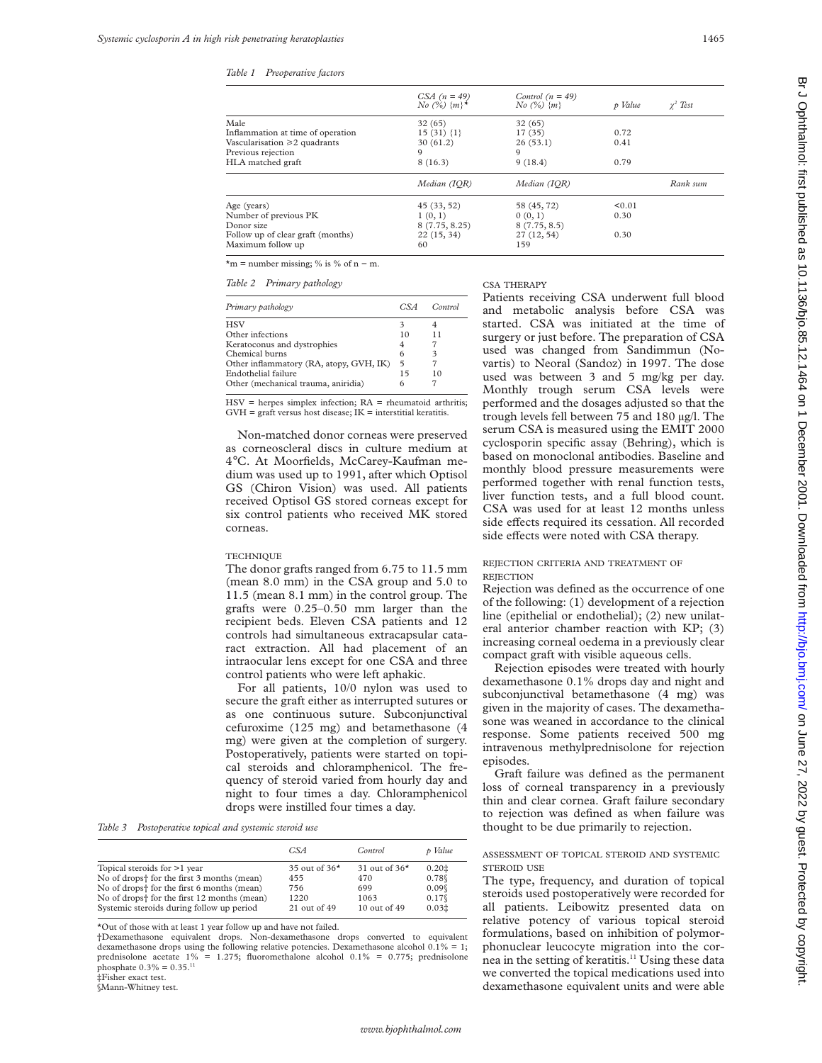|                                   | CSA $(n = 49)$<br>$N\sigma$ (%) $\{m\}^*$ | Control $(n = 49)$<br>$N\sigma$ (%) $\{m\}$ | p Value | $\gamma^2$ Test |
|-----------------------------------|-------------------------------------------|---------------------------------------------|---------|-----------------|
| Male                              | 32(65)                                    | 32(65)                                      |         |                 |
| Inflammation at time of operation | $15(31)$ {1}                              | 17(35)                                      | 0.72    |                 |
| Vascularisation ≥2 quadrants      | 30(61.2)                                  | 26(53.1)                                    | 0.41    |                 |
| Previous rejection                | 9                                         | 9                                           |         |                 |
| HLA matched graft                 | 8(16.3)                                   | 9(18.4)                                     | 0.79    |                 |
|                                   | Median (IOR)                              | Median (IOR)                                |         | Rank sum        |
| Age (years)                       | 45(33, 52)                                | 58 (45, 72)                                 | < 0.01  |                 |
| Number of previous PK             | 1(0,1)                                    | 0(0,1)                                      | 0.30    |                 |
| Donor size                        | 8(7.75, 8.25)                             | 8(7.75, 8.5)                                |         |                 |
| Follow up of clear graft (months) | 22(15, 34)                                | 27(12, 54)                                  | 0.30    |                 |
| Maximum follow up                 | 60                                        | 159                                         |         |                 |
|                                   |                                           |                                             |         |                 |

 $*<sub>m</sub>$  = number missing; % is % of n – m.

*Table 2 Primary pathology*

| Primary pathology                       | CSA | Control |
|-----------------------------------------|-----|---------|
| <b>HSV</b>                              | 3   |         |
| Other infections                        | 10  | 11      |
| Keratoconus and dystrophies             | 4   |         |
| Chemical burns                          | 6   | 3       |
| Other inflammatory (RA, atopy, GVH, IK) | 5   |         |
| Endothelial failure                     | 15  | 10      |
| Other (mechanical trauma, aniridia)     | 6   |         |

 $HSV =$  herpes simplex infection;  $RA =$  rheumatoid arthritis;  $GVH = \text{graft versus host disease}; IK = \text{interstitial keratitis}.$ 

Non-matched donor corneas were preserved as corneoscleral discs in culture medium at 4°C. At Moorfields, McCarey-Kaufman medium was used up to 1991, after which Optisol GS (Chiron Vision) was used. All patients received Optisol GS stored corneas except for six control patients who received MK stored corneas.

#### **TECHNIQUE**

The donor grafts ranged from 6.75 to 11.5 mm (mean 8.0 mm) in the CSA group and 5.0 to 11.5 (mean 8.1 mm) in the control group. The grafts were 0.25–0.50 mm larger than the recipient beds. Eleven CSA patients and 12 controls had simultaneous extracapsular cataract extraction. All had placement of an intraocular lens except for one CSA and three control patients who were left aphakic.

For all patients, 10/0 nylon was used to secure the graft either as interrupted sutures or as one continuous suture. Subconjunctival cefuroxime (125 mg) and betamethasone (4 mg) were given at the completion of surgery. Postoperatively, patients were started on topical steroids and chloramphenicol. The frequency of steroid varied from hourly day and night to four times a day. Chloramphenicol drops were instilled four times a day.

*Table 3 Postoperative topical and systemic steroid use*

|                                                                                                                                                                                                                                                          | CSA                                                       | Control                                                   | p Value                                              |
|----------------------------------------------------------------------------------------------------------------------------------------------------------------------------------------------------------------------------------------------------------|-----------------------------------------------------------|-----------------------------------------------------------|------------------------------------------------------|
| Topical steroids for >1 year<br>No of drops <sup>+</sup> for the first 3 months (mean)<br>No of drops <sup>+</sup> for the first 6 months (mean)<br>No of drops <sup>+</sup> for the first 12 months (mean)<br>Systemic steroids during follow up period | 35 out of $36*$<br>455<br>756<br>1220<br>$21$ out of $49$ | 31 out of $36*$<br>470<br>699<br>1063<br>$10$ out of $49$ | 0.201<br>0.78<br>0.09%<br>0.17%<br>0.03 <sup>‡</sup> |

\*Out of those with at least 1 year follow up and have not failed.

†Dexamethasone equivalent drops. Non-dexamethasone drops converted to equivalent dexamethasone drops using the following relative potencies. Dexamethasone alcohol  $0.1\% = 1$ ; prednisolone acetate 1% = 1.275; fluoromethalone alcohol 0.1% = 0.775; prednisolone phosphate  $0.3\% = 0.35$ .<sup>11</sup> ‡Fisher exact test.

§Mann-Whitney test.

CSA THERAPY

Patients receiving CSA underwent full blood and metabolic analysis before CSA was started. CSA was initiated at the time of surgery or just before. The preparation of CSA used was changed from Sandimmun (Novartis) to Neoral (Sandoz) in 1997. The dose used was between 3 and 5 mg/kg per day. Monthly trough serum CSA levels were performed and the dosages adjusted so that the trough levels fell between 75 and 180 µg/l. The serum CSA is measured using the EMIT 2000 cyclosporin specific assay (Behring), which is based on monoclonal antibodies. Baseline and monthly blood pressure measurements were performed together with renal function tests, liver function tests, and a full blood count. CSA was used for at least 12 months unless side effects required its cessation. All recorded side effects were noted with CSA therapy.

# REJECTION CRITERIA AND TREATMENT OF **REJECTION**

Rejection was defined as the occurrence of one of the following: (1) development of a rejection line (epithelial or endothelial); (2) new unilateral anterior chamber reaction with KP; (3) increasing corneal oedema in a previously clear compact graft with visible aqueous cells.

Rejection episodes were treated with hourly dexamethasone 0.1% drops day and night and subconjunctival betamethasone (4 mg) was given in the majority of cases. The dexamethasone was weaned in accordance to the clinical response. Some patients received 500 mg intravenous methylprednisolone for rejection episodes.

Graft failure was defined as the permanent loss of corneal transparency in a previously thin and clear cornea. Graft failure secondary to rejection was defined as when failure was thought to be due primarily to rejection.

### ASSESSMENT OF TOPICAL STEROID AND SYSTEMIC STEROID USE

The type, frequency, and duration of topical steroids used postoperatively were recorded for all patients. Leibowitz presented data on relative potency of various topical steroid formulations, based on inhibition of polymorphonuclear leucocyte migration into the cornea in the setting of keratitis.<sup>11</sup> Using these data we converted the topical medications used into dexamethasone equivalent units and were able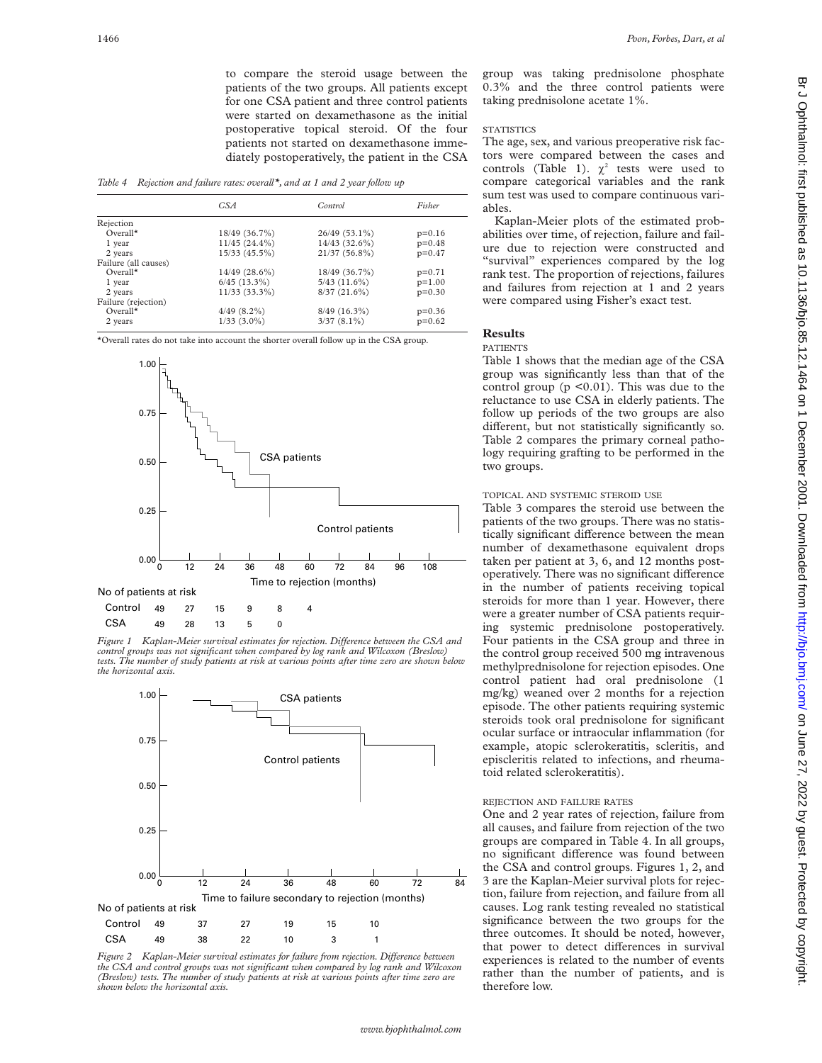to compare the steroid usage between the patients of the two groups. All patients except for one CSA patient and three control patients were started on dexamethasone as the initial postoperative topical steroid. Of the four patients not started on dexamethasone immediately postoperatively, the patient in the CSA

*Table 4 Rejection and failure rates: overall\*, and at 1 and 2 year follow up*

|                      | CSA               | Control           | Fisher   |
|----------------------|-------------------|-------------------|----------|
| Rejection            |                   |                   |          |
| $Overal*$            | 18/49 (36.7%)     | 26/49 (53.1%)     | $p=0.16$ |
| 1 year               | $11/45(24.4\%)$   | 14/43 (32.6%)     | $p=0.48$ |
| 2 years              | 15/33(45.5%)      | 21/37 (56.8%)     | $p=0.47$ |
| Failure (all causes) |                   |                   |          |
| $Overal*$            | $14/49$ (28.6%)   | 18/49 (36.7%)     | $p=0.71$ |
| 1 year               | $6/45$ $(13.3\%)$ | $5/43$ $(11.6\%)$ | $p=1.00$ |
| 2 years              | 11/33 (33.3%)     | $8/37(21.6\%)$    | $p=0.30$ |
| Failure (rejection)  |                   |                   |          |
| $Overal*$            | $4/49(8.2\%)$     | $8/49$ (16.3%)    | $p=0.36$ |
| 2 years              | $1/33$ $(3.0\%)$  | $3/37(8.1\%)$     | $p=0.62$ |

\*Overall rates do not take into account the shorter overall follow up in the CSA group.



*Figure 1* Kaplan-Meier survival estimates for rejection. Difference between the CSA and *control groups was not significant when compared by log rank and Wilcoxon (Breslow) tests. The number of study patients at risk at various points after time zero are shown below the horizontal axis.*



*Figure 2* Kaplan-Meier survival estimates for failure from rejection. Difference between *the CSA and control groups was not significant when compared by log rank and Wilcoxon (Breslow) tests. The number of study patients at risk at various points after time zero are shown below the horizontal axis.*

group was taking prednisolone phosphate 0.3% and the three control patients were taking prednisolone acetate 1%.

# **STATISTICS**

The age, sex, and various preoperative risk factors were compared between the cases and controls (Table 1).  $\chi^2$  tests were used to compare categorical variables and the rank sum test was used to compare continuous variables.

Kaplan-Meier plots of the estimated probabilities over time, of rejection, failure and failure due to rejection were constructed and "survival" experiences compared by the log rank test. The proportion of rejections, failures and failures from rejection at 1 and 2 years were compared using Fisher's exact test.

# **Results**

# PATIENTS

Table 1 shows that the median age of the CSA group was significantly less than that of the control group (p <0.01). This was due to the reluctance to use CSA in elderly patients. The follow up periods of the two groups are also different, but not statistically significantly so. Table 2 compares the primary corneal pathology requiring grafting to be performed in the two groups.

#### TOPICAL AND SYSTEMIC STEROID USE

Table 3 compares the steroid use between the patients of the two groups. There was no statistically significant difference between the mean number of dexamethasone equivalent drops taken per patient at 3, 6, and 12 months postoperatively. There was no significant difference in the number of patients receiving topical steroids for more than 1 year. However, there were a greater number of CSA patients requiring systemic prednisolone postoperatively. Four patients in the CSA group and three in the control group received 500 mg intravenous methylprednisolone for rejection episodes. One control patient had oral prednisolone (1 mg/kg) weaned over 2 months for a rejection episode. The other patients requiring systemic steroids took oral prednisolone for significant ocular surface or intraocular inflammation (for example, atopic sclerokeratitis, scleritis, and episcleritis related to infections, and rheumatoid related sclerokeratitis).

#### REJECTION AND FAILURE RATES

One and 2 year rates of rejection, failure from all causes, and failure from rejection of the two groups are compared in Table 4. In all groups, no significant difference was found between the CSA and control groups. Figures 1, 2, and 3 are the Kaplan-Meier survival plots for rejection, failure from rejection, and failure from all causes. Log rank testing revealed no statistical significance between the two groups for the three outcomes. It should be noted, however, that power to detect differences in survival experiences is related to the number of events rather than the number of patients, and is therefore low.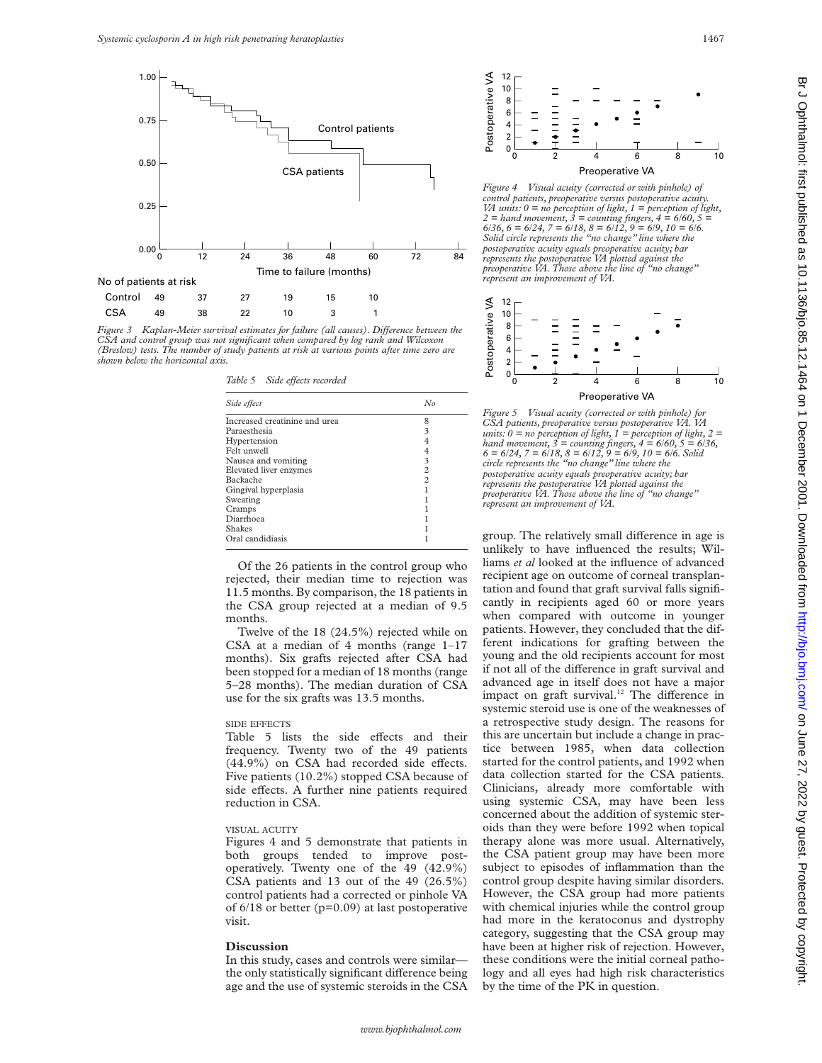

*Figure 3* Kaplan-Meier survival estimates for failure (all causes). Difference between the *CSA and control group was not significant when compared by log rank and Wilcoxon (Breslow) tests. The number of study patients at risk at various points after time zero are shown below the horizontal axis.*

*Table 5* Side effects recorded

| Side effect                   | No             |
|-------------------------------|----------------|
| Increased creatinine and urea | 8              |
| Paraesthesia                  | 3              |
| Hypertension                  |                |
| Felt unwell                   |                |
| Nausea and vomiting           | 3              |
| Elevated liver enzymes        | $\overline{c}$ |
| Backache                      | $\mathfrak{D}$ |
| Gingival hyperplasia          |                |
| Sweating                      |                |
| Cramps                        |                |
| Diarrhoea                     |                |
| <b>Shakes</b>                 |                |
| Oral candidiasis              |                |

Of the 26 patients in the control group who rejected, their median time to rejection was 11.5 months. By comparison, the 18 patients in the CSA group rejected at a median of 9.5 months.

Twelve of the 18 (24.5%) rejected while on CSA at a median of 4 months (range 1–17 months). Six grafts rejected after CSA had been stopped for a median of 18 months (range 5–28 months). The median duration of CSA use for the six grafts was 13.5 months.

#### SIDE EFFECTS

Table 5 lists the side effects and their frequency. Twenty two of the 49 patients  $(44.9\%)$  on CSA had recorded side effects. Five patients (10.2%) stopped CSA because of side effects. A further nine patients required reduction in CSA.

#### VISUAL ACUITY

Figures 4 and 5 demonstrate that patients in both groups tended to improve postoperatively. Twenty one of the 49 (42.9%) CSA patients and 13 out of the 49 (26.5%) control patients had a corrected or pinhole VA of  $6/18$  or better (p=0.09) at last postoperative visit.

#### **Discussion**

In this study, cases and controls were similar the only statistically significant difference being age and the use of systemic steroids in the CSA



*Figure 4 Visual acuity (corrected or with pinhole) of control patients, preoperative versus postoperative acuity. VA units: 0 = no perception of light, 1 = perception of light, 2 = hand movement, 3 = counting fingers, 4 = 6/60, 5 = 6/36, 6 = 6/24, 7 = 6/18, 8 = 6/12, 9 = 6/9, 10 = 6/6. Solid circle represents the "no change" line where the postoperative acuity equals preoperative acuity; bar represents the postoperative VA plotted against the preoperative VA. Those above the line of "no change" represent an improvement of VA.*



*Figure 5 Visual acuity (corrected or with pinhole) for CSA patients, preoperative versus postoperative VA. VA units: 0 = no perception of light, 1 = perception of light, 2 = hand movement, 3 = counting fingers, 4 = 6/60, 5 = 6/36, 6 = 6/24, 7 = 6/18, 8 = 6/12, 9 = 6/9, 10 = 6/6. Solid circle represents the "no change" line where the postoperative acuity equals preoperative acuity; bar represents the postoperative VA plotted against the preoperative VA. Those above the line of "no change" represent an improvement of VA.*

group. The relatively small difference in age is unlikely to have influenced the results; Williams *et al* looked at the influence of advanced recipient age on outcome of corneal transplantation and found that graft survival falls significantly in recipients aged 60 or more years when compared with outcome in younger patients. However, they concluded that the different indications for grafting between the young and the old recipients account for most if not all of the difference in graft survival and advanced age in itself does not have a major impact on graft survival.<sup>12</sup> The difference in systemic steroid use is one of the weaknesses of a retrospective study design. The reasons for this are uncertain but include a change in practice between 1985, when data collection started for the control patients, and 1992 when data collection started for the CSA patients. Clinicians, already more comfortable with using systemic CSA, may have been less concerned about the addition of systemic steroids than they were before 1992 when topical therapy alone was more usual. Alternatively, the CSA patient group may have been more subject to episodes of inflammation than the control group despite having similar disorders. However, the CSA group had more patients with chemical injuries while the control group had more in the keratoconus and dystrophy category, suggesting that the CSA group may have been at higher risk of rejection. However, these conditions were the initial corneal pathology and all eyes had high risk characteristics by the time of the PK in question.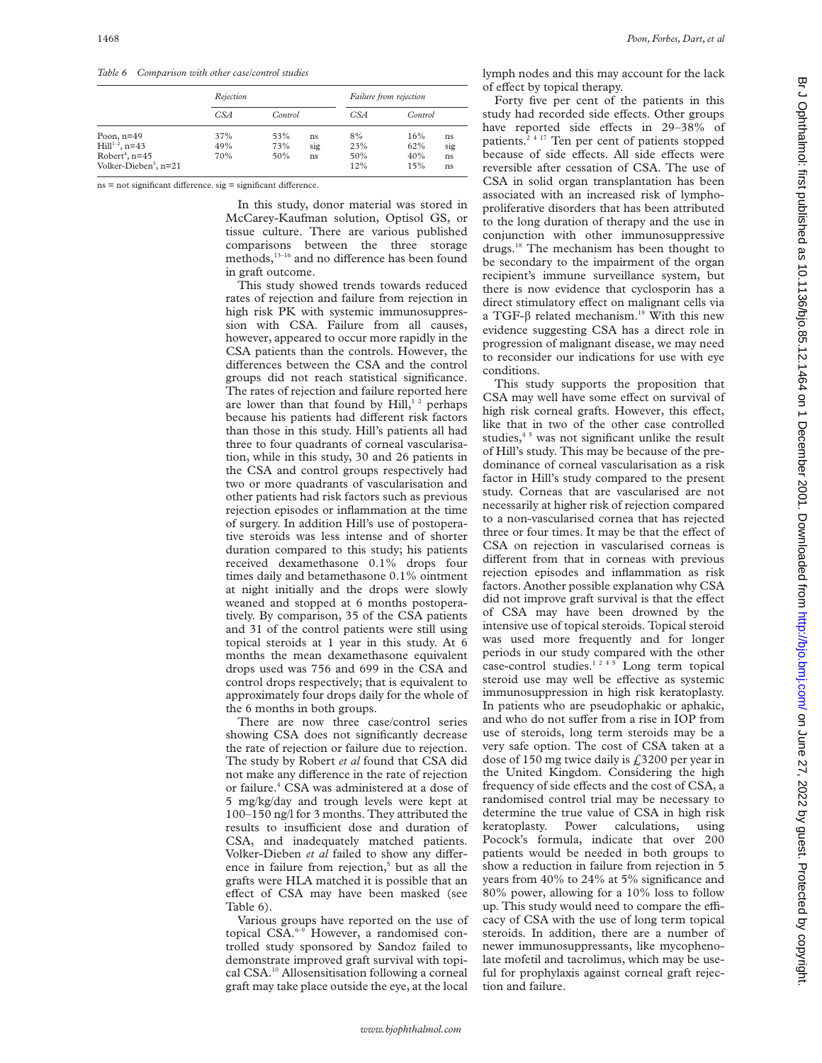*Table 6 Comparison with other case/control studies*

|                                   | Rejection |         |          | Failure from rejection |         |     |
|-----------------------------------|-----------|---------|----------|------------------------|---------|-----|
|                                   | CSA       | Control |          | CSA                    | Control |     |
| Poon, $n=49$                      | 37%       | 53%     | 8%<br>ns |                        | 16%     | ns  |
| Hill $1-2$ , n=43                 | 49%       | 73%     | sig      | 23%                    | 62%     | sig |
| Robert <sup>4</sup> , n=45        | 70%       | 50%     | ns       | 50%                    | 40%     | ns  |
| Volker-Dieben <sup>5</sup> , n=21 |           |         |          | 12%                    | 15%     | ns  |

 $ns = not significant difference.$   $sig = significant difference$ .

In this study, donor material was stored in McCarey-Kaufman solution, Optisol GS, or tissue culture. There are various published comparisons between the three storage methods,<sup>13-16</sup> and no difference has been found in graft outcome.

This study showed trends towards reduced rates of rejection and failure from rejection in high risk PK with systemic immunosuppression with CSA. Failure from all causes, however, appeared to occur more rapidly in the CSA patients than the controls. However, the differences between the CSA and the control groups did not reach statistical significance. The rates of rejection and failure reported here are lower than that found by  $Hill, 12$  perhaps because his patients had different risk factors than those in this study. Hill's patients all had three to four quadrants of corneal vascularisation, while in this study, 30 and 26 patients in the CSA and control groups respectively had two or more quadrants of vascularisation and other patients had risk factors such as previous rejection episodes or inflammation at the time of surgery. In addition Hill's use of postoperative steroids was less intense and of shorter duration compared to this study; his patients received dexamethasone 0.1% drops four times daily and betamethasone 0.1% ointment at night initially and the drops were slowly weaned and stopped at 6 months postoperatively. By comparison, 35 of the CSA patients and 31 of the control patients were still using topical steroids at 1 year in this study. At 6 months the mean dexamethasone equivalent drops used was 756 and 699 in the CSA and control drops respectively; that is equivalent to approximately four drops daily for the whole of the 6 months in both groups.

There are now three case/control series showing CSA does not significantly decrease the rate of rejection or failure due to rejection. The study by Robert *et al* found that CSA did not make any difference in the rate of rejection or failure.<sup>4</sup> CSA was administered at a dose of 5 mg/kg/day and trough levels were kept at 100–150 ng/l for 3 months. They attributed the results to insufficient dose and duration of CSA, and inadequately matched patients. Volker-Dieben et al failed to show any difference in failure from rejection,<sup>5</sup> but as all the grafts were HLA matched it is possible that an effect of CSA may have been masked (see Table 6).

Various groups have reported on the use of topical CSA.<sup>6-9</sup> However, a randomised controlled study sponsored by Sandoz failed to demonstrate improved graft survival with topical CSA.10 Allosensitisation following a corneal graft may take place outside the eye, at the local

lymph nodes and this may account for the lack of effect by topical therapy.

Forty five per cent of the patients in this study had recorded side effects. Other groups have reported side effects in 29-38% of patients.<sup>24 17</sup> Ten per cent of patients stopped because of side effects. All side effects were reversible after cessation of CSA. The use of CSA in solid organ transplantation has been associated with an increased risk of lymphoproliferative disorders that has been attributed to the long duration of therapy and the use in conjunction with other immunosuppressive drugs.<sup>18</sup> The mechanism has been thought to be secondary to the impairment of the organ recipient's immune surveillance system, but there is now evidence that cyclosporin has a direct stimulatory effect on malignant cells via a TGF- $\beta$  related mechanism.<sup>19</sup> With this new evidence suggesting CSA has a direct role in progression of malignant disease, we may need to reconsider our indications for use with eye conditions.

This study supports the proposition that CSA may well have some effect on survival of high risk corneal grafts. However, this effect, like that in two of the other case controlled studies,<sup>45</sup> was not significant unlike the result of Hill's study. This may be because of the predominance of corneal vascularisation as a risk factor in Hill's study compared to the present study. Corneas that are vascularised are not necessarily at higher risk of rejection compared to a non-vascularised cornea that has rejected three or four times. It may be that the effect of CSA on rejection in vascularised corneas is different from that in corneas with previous rejection episodes and inflammation as risk factors. Another possible explanation why CSA did not improve graft survival is that the effect of CSA may have been drowned by the intensive use of topical steroids. Topical steroid was used more frequently and for longer periods in our study compared with the other case-control studies.<sup>1245</sup> Long term topical steroid use may well be effective as systemic immunosuppression in high risk keratoplasty. In patients who are pseudophakic or aphakic, and who do not suffer from a rise in IOP from use of steroids, long term steroids may be a very safe option. The cost of CSA taken at a dose of 150 mg twice daily is  $\text{\emph{f}}3200$  per year in the United Kingdom. Considering the high frequency of side effects and the cost of CSA, a randomised control trial may be necessary to determine the true value of CSA in high risk keratoplasty. Power calculations, using Pocock's formula, indicate that over 200 patients would be needed in both groups to show a reduction in failure from rejection in 5 years from 40% to 24% at 5% significance and 80% power, allowing for a 10% loss to follow up. This study would need to compare the efficacy of CSA with the use of long term topical steroids. In addition, there are a number of newer immunosuppressants, like mycophenolate mofetil and tacrolimus, which may be useful for prophylaxis against corneal graft rejection and failure.